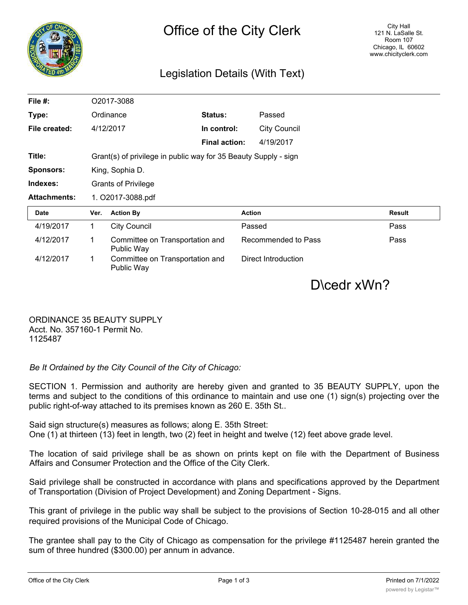

## Legislation Details (With Text)

| File #:             | O2017-3088                                                      |                                               |                      |                     |               |
|---------------------|-----------------------------------------------------------------|-----------------------------------------------|----------------------|---------------------|---------------|
| Type:               | Ordinance                                                       |                                               | Status:              | Passed              |               |
| File created:       |                                                                 | 4/12/2017                                     | In control:          | <b>City Council</b> |               |
|                     |                                                                 |                                               | <b>Final action:</b> | 4/19/2017           |               |
| Title:              | Grant(s) of privilege in public way for 35 Beauty Supply - sign |                                               |                      |                     |               |
| <b>Sponsors:</b>    | King, Sophia D.                                                 |                                               |                      |                     |               |
| Indexes:            | <b>Grants of Privilege</b>                                      |                                               |                      |                     |               |
| <b>Attachments:</b> | 1. O2017-3088.pdf                                               |                                               |                      |                     |               |
| <b>Date</b>         | Ver.                                                            | <b>Action By</b>                              |                      | <b>Action</b>       | <b>Result</b> |
| 4/19/2017           | 1                                                               | <b>City Council</b>                           |                      | Passed              | Pass          |
| 4/12/2017           | 1                                                               | Committee on Transportation and<br>Public Way |                      | Recommended to Pass | Pass          |
| 4/12/2017           | 1                                                               | Committee on Transportation and<br>Public Way |                      | Direct Introduction |               |

D\cedr xWn?

ORDINANCE 35 BEAUTY SUPPLY Acct. No. 357160-1 Permit No. 1125487

*Be It Ordained by the City Council of the City of Chicago:*

SECTION 1. Permission and authority are hereby given and granted to 35 BEAUTY SUPPLY, upon the terms and subject to the conditions of this ordinance to maintain and use one (1) sign(s) projecting over the public right-of-way attached to its premises known as 260 E. 35th St..

Said sign structure(s) measures as follows; along E. 35th Street: One (1) at thirteen (13) feet in length, two (2) feet in height and twelve (12) feet above grade level.

The location of said privilege shall be as shown on prints kept on file with the Department of Business Affairs and Consumer Protection and the Office of the City Clerk.

Said privilege shall be constructed in accordance with plans and specifications approved by the Department of Transportation (Division of Project Development) and Zoning Department - Signs.

This grant of privilege in the public way shall be subject to the provisions of Section 10-28-015 and all other required provisions of the Municipal Code of Chicago.

The grantee shall pay to the City of Chicago as compensation for the privilege #1125487 herein granted the sum of three hundred (\$300.00) per annum in advance.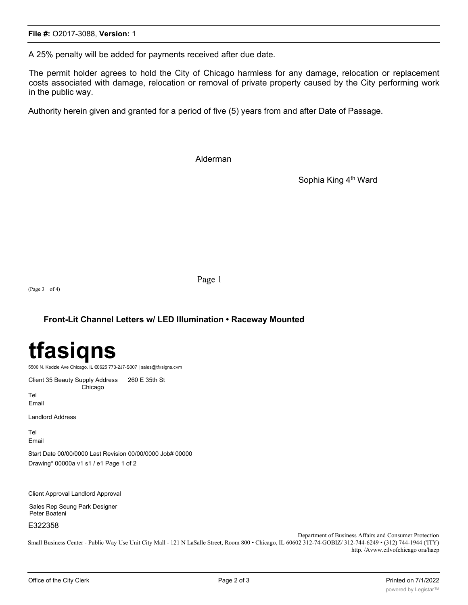A 25% penalty will be added for payments received after due date.

The permit holder agrees to hold the City of Chicago harmless for any damage, relocation or replacement costs associated with damage, relocation or removal of private property caused by the City performing work in the public way.

Authority herein given and granted for a period of five (5) years from and after Date of Passage.

Alderman

Sophia King 4<sup>th</sup> Ward

Page 1

(Page 3 of 4)

### **Front-Lit Channel Letters w/ LED Illumination • Raceway Mounted**

# **tfasiqns**

5500 N. Kedzie Ave Chicago. IL €0625 773-2J7-S007 | sales@tf»signs.c«m

Client 35 Beauty Supply Address 260 E 35th St Chicago

Tel Email

Landlord Address

Tel Email

Start Date 00/00/0000 Last Revision 00/00/0000 Job# 00000 Drawing\* 00000a v1 s1 / e1 Page 1 of 2

Client Approval Landlord Approval

Sales Rep Seung Park Designer Peter Boateni

E322358

Department of Business Affairs and Consumer Protection

Small Business Center - Public Way Use Unit City Mall - 121 N LaSalle Street, Room 800 • Chicago, IL 60602 312-74-GOBIZ/ 312-744-6249 • (312) 744-1944 ('ITY) http. /Avww.cilvofchicago ora/hacp